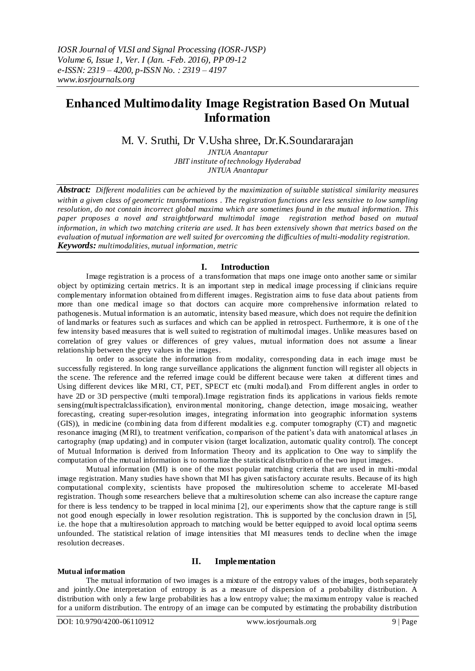# **Enhanced Multimodality Image Registration Based On Mutual Information**

## M. V. Sruthi, Dr V.Usha shree, Dr.K.Soundararajan

*JNTUA Anantapur JBIT institute of technology Hyderabad JNTUA Anantapur*

*Abstract: Different modalities can be achieved by the maximization of suitable statistical similarity measures within a given class of geometric transformations . The registration functions are less sensitive to low sampling resolution, do not contain incorrect global maxima which are sometimes found in the mutual information. This paper proposes a novel and straightforward multimodal image registration method based on mutual information, in which two matching criteria are used. It has been extensively shown that metrics based on the evaluation of mutual information are well suited for overcoming the difficulties of multi-modality registration. Keywords: multimodalities, mutual information, metric*

## **I. Introduction**

Image registration is a process of a transformation that maps one image onto another same or similar object by optimizing certain metrics. It is an important step in medical image processing if clinicians require complementary information obtained from different images. Registration aims to fuse data about patients from more than one medical image so that doctors can acquire more comprehensive information related to pathogenesis. Mutual information is an automatic, intensity based measure, which does not require the definition of landmarks or features such as surfaces and which can be applied in retrospect. Furthermore, it is one of t he few intensity based measures that is well suited to registration of multimodal images. Unlike measures based on correlation of grey values or differences of grey values, mutual information does not assume a linear relationship between the grey values in the images.

In order to associate the information from modality, corresponding data in each image must be successfully registered. In long range surveillance applications the alignment function will register all objects in the scene. The reference and the referred image could be different because were taken at different times and Using different devices like MRI, CT, PET, SPECT etc (multi modal).and From different angles in order to have 2D or 3D perspective (multi temporal). Image registration finds its applications in various fields remote sensing(multispectralclassification), environmental monitoring, change detection, image mosaicing, weather forecasting, creating super-resolution images, integrating information into geographic information systems (GIS)), in medicine (combining data from different modalities e.g. computer tomography (CT) and magnetic resonance imaging (MRI), to treatment verification, comparison of the patient's data with anatomical atlases ,in cartography (map updating) and in computer vision (target localization, automatic quality control). The concept of Mutual Information is derived from Information Theory and its application to One way to simplify the computation of the mutual information is to normalize the statistical distribution of the two input images.

Mutual information (MI) is one of the most popular matching criteria that are used in multi-modal image registration. Many studies have shown that MI has given satisfactory accurate results. Because of its high computational complexity, scientists have proposed the multiresolution scheme to accelerate MI-based registration. Though some researchers believe that a multiresolution scheme can also increase the capture range for there is less tendency to be trapped in local minima [2], our experiments show that the capture range is still not good enough especially in lower resolution registration. This is supported by the conclusion drawn in [5], i.e. the hope that a multiresolution approach to matching would be better equipped to avoid local optima seems unfounded. The statistical relation of image intensities that MI measures tends to decline when the image resolution decreases.

## **II. Implementation**

### **Mutual information**

The mutual information of two images is a mixture of the entropy values of the images, both separately and jointly.One interpretation of entropy is as a measure of dispersion of a probability distribution. A distribution with only a few large probabilities has a low entropy value; the maximum entropy value is reached for a uniform distribution. The entropy of an image can be computed by estimating the probability distribution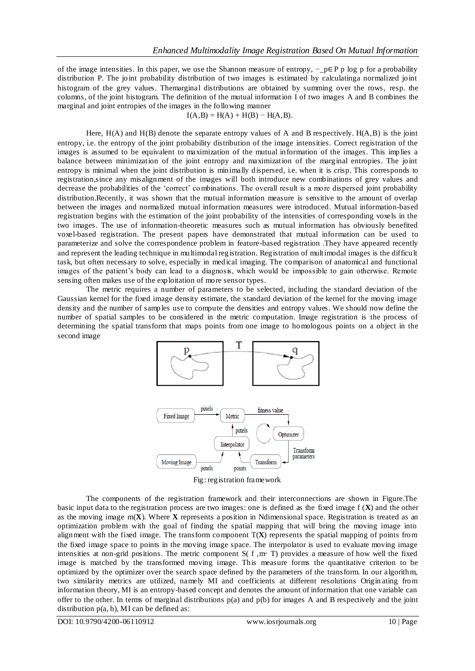of the image intensities. In this paper, we use the Shannon measure of entropy,  $-p \in P$  p log p for a probability distribution P. The joint probability distribution of two images is estimated by calculatinga normalized joint histogram of the grey values. Themarginal distributions are obtained by summing over the rows, resp. the columns, of the joint histogram. The definition of the mutual information I of two images A and B combines the marginal and joint entropies of the images in the following manner

#### $I(A,B) = H(A) + H(B) - H(A,B).$

Here, H(A) and H(B) denote the separate entropy values of A and B respectively. H(A,B) is the joint entropy, i.e. the entropy of the joint probability distribution of the image intensities. Correct registration of the images is assumed to be equivalent to maximization of the mutual information of the images. This implies a balance between minimization of the joint entropy and maximization of the marginal entropies. The joint entropy is minimal when the joint distribution is minimally dispersed, i.e. when it is crisp. This corresponds to registration,since any misalignment of the images will both introduce new combinations of grey values and decrease the probabilities of the "correct" combinations. The overall result is a more dispersed joint probability distribution.Recently, it was shown that the mutual information measure is sensitive to the amount of overlap between the images and normalized mutual information measures were introduced. Mutual information-based registration begins with the estimation of the joint probability of the intensities of corresponding voxels in the two images. The use of information-theoretic measures such as mutual information has obviously benefited voxel-based registration. The present papers have demonstrated that mutual information can be used to parameterize and solve the correspondence problem in feature-based registration .They have appeared recently and represent the leading technique in multimodal registration. Registration of multimodal images is the difficult task, but often necessary to solve, especially in medical imaging. The comparison of anatomical and functional images of the patient's body can lead to a diagnosis, which would be impossible to gain otherwise. Remote sensing often makes use of the exploitation of more sensor types.

The metric requires a number of parameters to be selected, including the standard deviation of the Gaussian kernel for the fixed image density estimate, the standard deviation of the kernel for the moving image density and the number of samples use to compute the densities and entropy values. We should now define the number of spatial samples to be considered in the metric computation. Image registration is the process of determining the spatial transform that maps points from one image to homologous points on a object in the second image





The components of the registration framework and their interconnections are shown in Figure.The basic input data to the registration process are two images: one is defined as the fixed image f (**X**) and the other as the moving image  $m(X)$ . Where  $X$  represents a position in Ndimensional space. Registration is treated as an optimization problem with the goal of finding the spatial mapping that will bring the moving image into alignment with the fixed image. The transform component  $T(X)$  represents the spatial mapping of points from the fixed image space to points in the moving image space. The interpolator is used to evaluate moving image intensities at non-grid positions. The metric component S( f ,m◦ T) provides a measure of how well the fixed image is matched by the transformed moving image. This measure forms the quantitative criterion to be optimized by the optimizer over the search space defined by the parameters of the transform. In our algorithm, two similarity metrics are utilized, namely MI and coefficients at different resolutions Origin ating from information theory, MI is an entropy-based concept and denotes the amount of information that one variable can offer to the other. In terms of marginal distributions  $p(a)$  and  $p(b)$  for images A and B respectively and the joint distribution  $p(a, b)$ , MI can be defined as:

DOI: 10.9790/4200-06110912 www.iosrjournals.org 10 | Page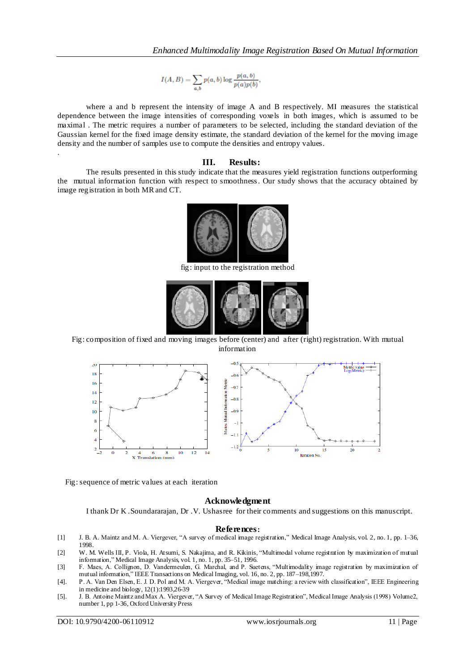$$
I(A, B) = \sum_{a,b} p(a, b) \log \frac{p(a, b)}{p(a)p(b)},
$$

where a and b represent the intensity of image A and B respectively. MI measures the statistical dependence between the image intensities of corresponding voxels in both images, which is assumed to be maximal . The metric requires a number of parameters to be selected, including the standard deviation of the Gaussian kernel for the fixed image density estimate, the standard deviation of the kernel for the moving image density and the number of samples use to compute the densities and entropy values.

#### **III. Results:**

The results presented in this study indicate that the measures yield registration functions outperforming the mutual information function with respect to smoothness. Our study shows that the accuracy obtained by image registration in both MR and CT.



fig: input to the registration method



Fig: composition of fixed and moving images before (center) and after (right) registration. With mutual information



Fig: sequence of metric values at each iteration

#### **Acknowledgment**

I thank Dr K .Soundararajan, Dr .V. Ushasree for their comments and suggestions on this manuscript.

#### **References:**

- [1] J. B. A. Maintz and M. A. Viergever, "A survey of medical image registration," Medical Image Analysis, vol. 2, no. 1, pp. 1–36, 1998.
- [2] W. M. Wells III, P. Viola, H. Atsumi, S. Nakajima, and R. Kikinis, "Multimodal volume registration by maximization of mutual information," Medical Image Analysis, vol. 1, no. 1, pp. 35–51, 1996.
- [3] F. Maes, A. Collignon, D. Vandermeulen, G. Marchal, and P. Suetens, "Multimodality image registration by maximization of mutual information," IEEE Transactions on Medical Imaging, vol. 16, no. 2, pp. 187–198,1997.
- [4]. P. A. Van Den Elsen, E. J. D. Pol and M. A. Viergever, "Medical image matching: a review with classification", IEEE Engineering in medicine and biology, 12(1):1993,26-39
- [5]. J. B. Antoine Maintz and Max A. Viergever, "A Survey of Medical Image Registration", Medical Image Analysis (1998) Volume2, number 1, pp 1-36, Oxford University Press

.